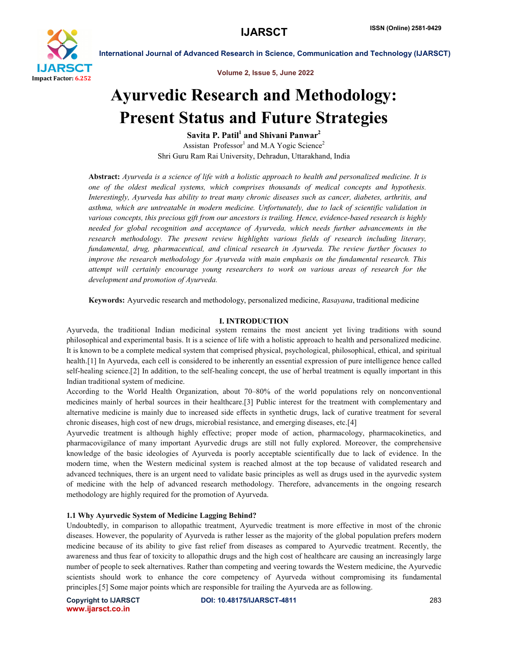

Volume 2, Issue 5, June 2022

# Ayurvedic Research and Methodology: Present Status and Future Strategies

Savita P. Patil $<sup>1</sup>$  and Shivani Panwar<sup>2</sup></sup> Assistan Professor<sup>1</sup> and M.A Yogic Science<sup>2</sup> Shri Guru Ram Rai University, Dehradun, Uttarakhand, India

Abstract: *Ayurveda is a science of life with a holistic approach to health and personalized medicine. It is one of the oldest medical systems, which comprises thousands of medical concepts and hypothesis. Interestingly, Ayurveda has ability to treat many chronic diseases such as cancer, diabetes, arthritis, and asthma, which are untreatable in modern medicine. Unfortunately, due to lack of scientific validation in various concepts, this precious gift from our ancestors is trailing. Hence, evidence-based research is highly needed for global recognition and acceptance of Ayurveda, which needs further advancements in the research methodology. The present review highlights various fields of research including literary, fundamental, drug, pharmaceutical, and clinical research in Ayurveda. The review further focuses to improve the research methodology for Ayurveda with main emphasis on the fundamental research. This attempt will certainly encourage young researchers to work on various areas of research for the development and promotion of Ayurveda.*

Keywords: Ayurvedic research and methodology, personalized medicine, *Rasayana*, traditional medicine

# I. INTRODUCTION

Ayurveda, the traditional Indian medicinal system remains the most ancient yet living traditions with sound philosophical and experimental basis. It is a science of life with a holistic approach to health and personalized medicine. It is known to be a complete medical system that comprised physical, psychological, philosophical, ethical, and spiritual health.[1] In Ayurveda, each cell is considered to be inherently an essential expression of pure intelligence hence called self-healing science.[2] In addition, to the self-healing concept, the use of herbal treatment is equally important in this Indian traditional system of medicine.

According to the World Health Organization, about 70–80% of the world populations rely on nonconventional medicines mainly of herbal sources in their healthcare.[3] Public interest for the treatment with complementary and alternative medicine is mainly due to increased side effects in synthetic drugs, lack of curative treatment for several chronic diseases, high cost of new drugs, microbial resistance, and emerging diseases, etc.[4]

Ayurvedic treatment is although highly effective; proper mode of action, pharmacology, pharmacokinetics, and pharmacovigilance of many important Ayurvedic drugs are still not fully explored. Moreover, the comprehensive knowledge of the basic ideologies of Ayurveda is poorly acceptable scientifically due to lack of evidence. In the modern time, when the Western medicinal system is reached almost at the top because of validated research and advanced techniques, there is an urgent need to validate basic principles as well as drugs used in the ayurvedic system of medicine with the help of advanced research methodology. Therefore, advancements in the ongoing research methodology are highly required for the promotion of Ayurveda.

# 1.1 Why Ayurvedic System of Medicine Lagging Behind?

Undoubtedly, in comparison to allopathic treatment, Ayurvedic treatment is more effective in most of the chronic diseases. However, the popularity of Ayurveda is rather lesser as the majority of the global population prefers modern medicine because of its ability to give fast relief from diseases as compared to Ayurvedic treatment. Recently, the awareness and thus fear of toxicity to allopathic drugs and the high cost of healthcare are causing an increasingly large number of people to seek alternatives. Rather than competing and veering towards the Western medicine, the Ayurvedic scientists should work to enhance the core competency of Ayurveda without compromising its fundamental principles.[5] Some major points which are responsible for trailing the Ayurveda are as following.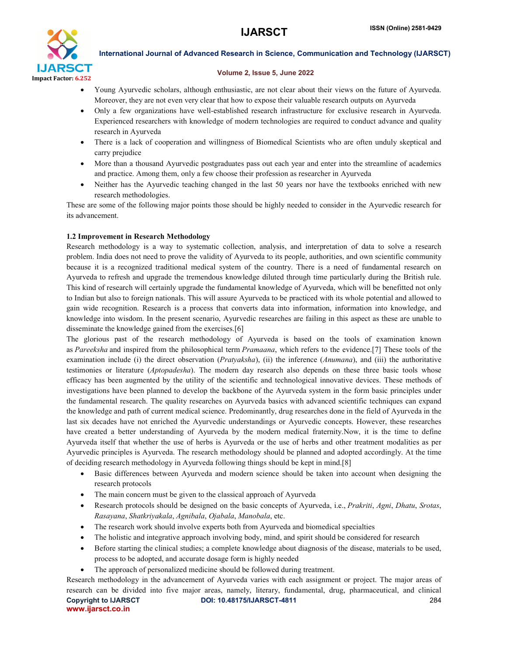

# Volume 2, Issue 5, June 2022

- Young Ayurvedic scholars, although enthusiastic, are not clear about their views on the future of Ayurveda. Moreover, they are not even very clear that how to expose their valuable research outputs on Ayurveda
- Only a few organizations have well-established research infrastructure for exclusive research in Ayurveda. Experienced researchers with knowledge of modern technologies are required to conduct advance and quality research in Ayurveda
- There is a lack of cooperation and willingness of Biomedical Scientists who are often unduly skeptical and carry prejudice
- More than a thousand Ayurvedic postgraduates pass out each year and enter into the streamline of academics and practice. Among them, only a few choose their profession as researcher in Ayurveda
- Neither has the Ayurvedic teaching changed in the last 50 years nor have the textbooks enriched with new research methodologies.

These are some of the following major points those should be highly needed to consider in the Ayurvedic research for its advancement.

# 1.2 Improvement in Research Methodology

Research methodology is a way to systematic collection, analysis, and interpretation of data to solve a research problem. India does not need to prove the validity of Ayurveda to its people, authorities, and own scientific community because it is a recognized traditional medical system of the country. There is a need of fundamental research on Ayurveda to refresh and upgrade the tremendous knowledge diluted through time particularly during the British rule. This kind of research will certainly upgrade the fundamental knowledge of Ayurveda, which will be benefitted not only to Indian but also to foreign nationals. This will assure Ayurveda to be practiced with its whole potential and allowed to gain wide recognition. Research is a process that converts data into information, information into knowledge, and knowledge into wisdom. In the present scenario, Ayurvedic researches are failing in this aspect as these are unable to disseminate the knowledge gained from the exercises.[6]

The glorious past of the research methodology of Ayurveda is based on the tools of examination known as *Pareeksha* and inspired from the philosophical term *Pramaana*, which refers to the evidence.[7] These tools of the examination include (i) the direct observation (*Pratyaksha*), (ii) the inference (*Anumana*), and (iii) the authoritative testimonies or literature (*Aptopadesha*). The modern day research also depends on these three basic tools whose efficacy has been augmented by the utility of the scientific and technological innovative devices. These methods of investigations have been planned to develop the backbone of the Ayurveda system in the form basic principles under the fundamental research. The quality researches on Ayurveda basics with advanced scientific techniques can expand the knowledge and path of current medical science. Predominantly, drug researches done in the field of Ayurveda in the last six decades have not enriched the Ayurvedic understandings or Ayurvedic concepts. However, these researches have created a better understanding of Ayurveda by the modern medical fraternity.Now, it is the time to define Ayurveda itself that whether the use of herbs is Ayurveda or the use of herbs and other treatment modalities as per Ayurvedic principles is Ayurveda. The research methodology should be planned and adopted accordingly. At the time of deciding research methodology in Ayurveda following things should be kept in mind.[8]

- Basic differences between Ayurveda and modern science should be taken into account when designing the research protocols
- The main concern must be given to the classical approach of Ayurveda
- Research protocols should be designed on the basic concepts of Ayurveda, i.e., *Prakriti*, *Agni*, *Dhatu*, *Srotas*, *Rasayana*, *Shatkriyakala*, *Agnibala*, *Ojabala*, *Manobala*, etc.
- The research work should involve experts both from Ayurveda and biomedical specialties
- The holistic and integrative approach involving body, mind, and spirit should be considered for research
- Before starting the clinical studies; a complete knowledge about diagnosis of the disease, materials to be used, process to be adopted, and accurate dosage form is highly needed
- The approach of personalized medicine should be followed during treatment.

Copyright to IJARSCT DOI: 10.48175/IJARSCT-4811 **284** www.ijarsct.co.in Research methodology in the advancement of Ayurveda varies with each assignment or project. The major areas of research can be divided into five major areas, namely, literary, fundamental, drug, pharmaceutical, and clinical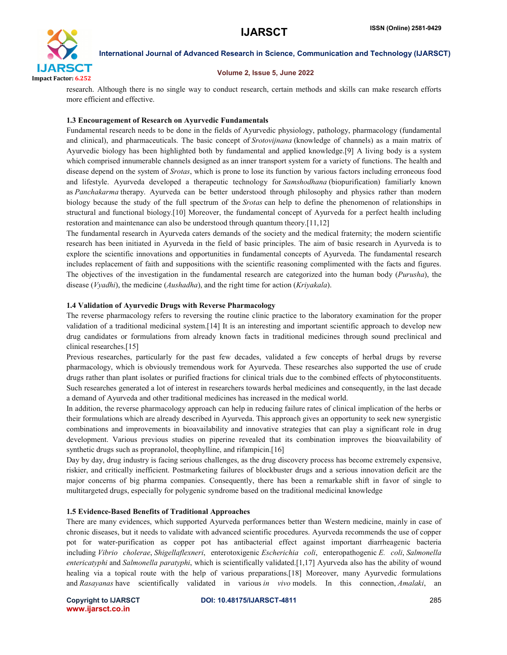

# Volume 2, Issue 5, June 2022

research. Although there is no single way to conduct research, certain methods and skills can make research efforts more efficient and effective.

# 1.3 Encouragement of Research on Ayurvedic Fundamentals

Fundamental research needs to be done in the fields of Ayurvedic physiology, pathology, pharmacology (fundamental and clinical), and pharmaceuticals. The basic concept of *Srotovijnana* (knowledge of channels) as a main matrix of Ayurvedic biology has been highlighted both by fundamental and applied knowledge.[9] A living body is a system which comprised innumerable channels designed as an inner transport system for a variety of functions. The health and disease depend on the system of *Srotas*, which is prone to lose its function by various factors including erroneous food and lifestyle. Ayurveda developed a therapeutic technology for *Samshodhana* (biopurification) familiarly known as *Panchakarma* therapy. Ayurveda can be better understood through philosophy and physics rather than modern biology because the study of the full spectrum of the *Srotas* can help to define the phenomenon of relationships in structural and functional biology.[10] Moreover, the fundamental concept of Ayurveda for a perfect health including restoration and maintenance can also be understood through quantum theory.[11,12]

The fundamental research in Ayurveda caters demands of the society and the medical fraternity; the modern scientific research has been initiated in Ayurveda in the field of basic principles. The aim of basic research in Ayurveda is to explore the scientific innovations and opportunities in fundamental concepts of Ayurveda. The fundamental research includes replacement of faith and suppositions with the scientific reasoning complimented with the facts and figures. The objectives of the investigation in the fundamental research are categorized into the human body (*Purusha*), the disease (*Vyadhi*), the medicine (*Aushadha*), and the right time for action (*Kriyakala*).

# 1.4 Validation of Ayurvedic Drugs with Reverse Pharmacology

The reverse pharmacology refers to reversing the routine clinic practice to the laboratory examination for the proper validation of a traditional medicinal system.[14] It is an interesting and important scientific approach to develop new drug candidates or formulations from already known facts in traditional medicines through sound preclinical and clinical researches.[15]

Previous researches, particularly for the past few decades, validated a few concepts of herbal drugs by reverse pharmacology, which is obviously tremendous work for Ayurveda. These researches also supported the use of crude drugs rather than plant isolates or purified fractions for clinical trials due to the combined effects of phytoconstituents. Such researches generated a lot of interest in researchers towards herbal medicines and consequently, in the last decade a demand of Ayurveda and other traditional medicines has increased in the medical world.

In addition, the reverse pharmacology approach can help in reducing failure rates of clinical implication of the herbs or their formulations which are already described in Ayurveda. This approach gives an opportunity to seek new synergistic combinations and improvements in bioavailability and innovative strategies that can play a significant role in drug development. Various previous studies on piperine revealed that its combination improves the bioavailability of synthetic drugs such as propranolol, theophylline, and rifampicin.[16]

Day by day, drug industry is facing serious challenges, as the drug discovery process has become extremely expensive, riskier, and critically inefficient. Postmarketing failures of blockbuster drugs and a serious innovation deficit are the major concerns of big pharma companies. Consequently, there has been a remarkable shift in favor of single to multitargeted drugs, especially for polygenic syndrome based on the traditional medicinal knowledge

# 1.5 Evidence-Based Benefits of Traditional Approaches

There are many evidences, which supported Ayurveda performances better than Western medicine, mainly in case of chronic diseases, but it needs to validate with advanced scientific procedures. Ayurveda recommends the use of copper pot for water-purification as copper pot has antibacterial effect against important diarrheagenic bacteria including *Vibrio cholerae*, *Shigellaflexneri*, enterotoxigenic *Escherichia coli*, enteropathogenic *E. coli*, *Salmonella entericatyphi* and *Salmonella paratyphi*, which is scientifically validated.[1,17] Ayurveda also has the ability of wound healing via a topical route with the help of various preparations.[18] Moreover, many Ayurvedic formulations and *Rasayanas* have scientifically validated in various *in vivo* models. In this connection, *Amalaki*, an

www.ijarsct.co.in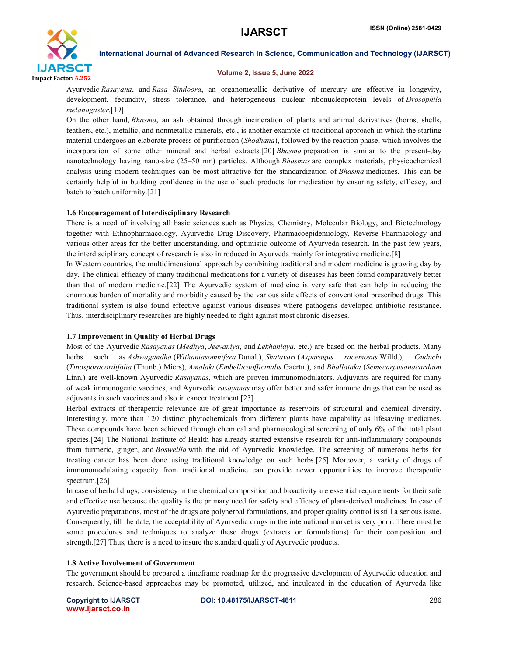

#### Volume 2, Issue 5, June 2022

Ayurvedic *Rasayana*, and *Rasa Sindoora*, an organometallic derivative of mercury are effective in longevity, development, fecundity, stress tolerance, and heterogeneous nuclear ribonucleoprotein levels of *Drosophila melanogaster*.[19]

On the other hand, *Bhasma*, an ash obtained through incineration of plants and animal derivatives (horns, shells, feathers, etc.), metallic, and nonmetallic minerals, etc., is another example of traditional approach in which the starting material undergoes an elaborate process of purification (*Shodhana*), followed by the reaction phase, which involves the incorporation of some other mineral and herbal extracts.[20] *Bhasma* preparation is similar to the present-day nanotechnology having nano-size (25–50 nm) particles. Although *Bhasmas* are complex materials, physicochemical analysis using modern techniques can be most attractive for the standardization of *Bhasma* medicines. This can be certainly helpful in building confidence in the use of such products for medication by ensuring safety, efficacy, and batch to batch uniformity.[21]

#### 1.6 Encouragement of Interdisciplinary Research

There is a need of involving all basic sciences such as Physics, Chemistry, Molecular Biology, and Biotechnology together with Ethnopharmacology, Ayurvedic Drug Discovery, Pharmacoepidemiology, Reverse Pharmacology and various other areas for the better understanding, and optimistic outcome of Ayurveda research. In the past few years, the interdisciplinary concept of research is also introduced in Ayurveda mainly for integrative medicine.[8]

In Western countries, the multidimensional approach by combining traditional and modern medicine is growing day by day. The clinical efficacy of many traditional medications for a variety of diseases has been found comparatively better than that of modern medicine.[22] The Ayurvedic system of medicine is very safe that can help in reducing the enormous burden of mortality and morbidity caused by the various side effects of conventional prescribed drugs. This traditional system is also found effective against various diseases where pathogens developed antibiotic resistance. Thus, interdisciplinary researches are highly needed to fight against most chronic diseases.

# 1.7 Improvement in Quality of Herbal Drugs

Most of the Ayurvedic *Rasayanas* (*Medhya*, *Jeevaniya*, and *Lekhaniaya*, etc.) are based on the herbal products. Many herbs such as *Ashwagandha* (*Withaniasomnifera* Dunal.), *Shatavari* (*Asparagus racemosus* Willd.), *Guduchi* (*Tinosporacordifolia* (Thunb.) Miers), *Amalaki* (*Embellicaofficinalis* Gaertn.), and *Bhallataka* (*Semecarpusanacardium* Linn.) are well-known Ayurvedic *Rasayanas*, which are proven immunomodulators. Adjuvants are required for many of weak immunogenic vaccines, and Ayurvedic *rasayanas* may offer better and safer immune drugs that can be used as adjuvants in such vaccines and also in cancer treatment.[23]

Herbal extracts of therapeutic relevance are of great importance as reservoirs of structural and chemical diversity. Interestingly, more than 120 distinct phytochemicals from different plants have capability as lifesaving medicines. These compounds have been achieved through chemical and pharmacological screening of only 6% of the total plant species.[24] The National Institute of Health has already started extensive research for anti-inflammatory compounds from turmeric, ginger, and *Boswellia* with the aid of Ayurvedic knowledge. The screening of numerous herbs for treating cancer has been done using traditional knowledge on such herbs.[25] Moreover, a variety of drugs of immunomodulating capacity from traditional medicine can provide newer opportunities to improve therapeutic spectrum.[26]

In case of herbal drugs, consistency in the chemical composition and bioactivity are essential requirements for their safe and effective use because the quality is the primary need for safety and efficacy of plant-derived medicines. In case of Ayurvedic preparations, most of the drugs are polyherbal formulations, and proper quality control is still a serious issue. Consequently, till the date, the acceptability of Ayurvedic drugs in the international market is very poor. There must be some procedures and techniques to analyze these drugs (extracts or formulations) for their composition and strength.[27] Thus, there is a need to insure the standard quality of Ayurvedic products.

#### 1.8 Active Involvement of Government

The government should be prepared a timeframe roadmap for the progressive development of Ayurvedic education and research. Science-based approaches may be promoted, utilized, and inculcated in the education of Ayurveda like

www.ijarsct.co.in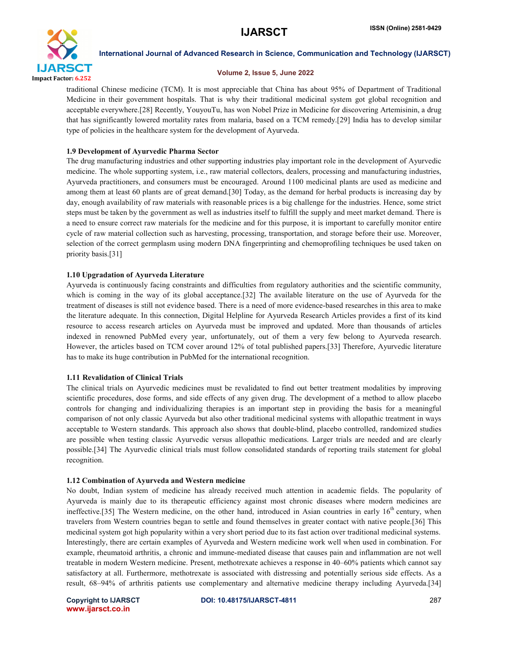

#### Volume 2, Issue 5, June 2022

traditional Chinese medicine (TCM). It is most appreciable that China has about 95% of Department of Traditional Medicine in their government hospitals. That is why their traditional medicinal system got global recognition and acceptable everywhere.[28] Recently, YouyouTu, has won Nobel Prize in Medicine for discovering Artemisinin, a drug that has significantly lowered mortality rates from malaria, based on a TCM remedy.[29] India has to develop similar type of policies in the healthcare system for the development of Ayurveda.

# 1.9 Development of Ayurvedic Pharma Sector

The drug manufacturing industries and other supporting industries play important role in the development of Ayurvedic medicine. The whole supporting system, i.e., raw material collectors, dealers, processing and manufacturing industries, Ayurveda practitioners, and consumers must be encouraged. Around 1100 medicinal plants are used as medicine and among them at least 60 plants are of great demand.[30] Today, as the demand for herbal products is increasing day by day, enough availability of raw materials with reasonable prices is a big challenge for the industries. Hence, some strict steps must be taken by the government as well as industries itself to fulfill the supply and meet market demand. There is a need to ensure correct raw materials for the medicine and for this purpose, it is important to carefully monitor entire cycle of raw material collection such as harvesting, processing, transportation, and storage before their use. Moreover, selection of the correct germplasm using modern DNA fingerprinting and chemoprofiling techniques be used taken on priority basis.[31]

# 1.10 Upgradation of Ayurveda Literature

Ayurveda is continuously facing constraints and difficulties from regulatory authorities and the scientific community, which is coming in the way of its global acceptance.<sup>[32]</sup> The available literature on the use of Ayurveda for the treatment of diseases is still not evidence based. There is a need of more evidence-based researches in this area to make the literature adequate. In this connection, Digital Helpline for Ayurveda Research Articles provides a first of its kind resource to access research articles on Ayurveda must be improved and updated. More than thousands of articles indexed in renowned PubMed every year, unfortunately, out of them a very few belong to Ayurveda research. However, the articles based on TCM cover around 12% of total published papers.[33] Therefore, Ayurvedic literature has to make its huge contribution in PubMed for the international recognition.

# 1.11 Revalidation of Clinical Trials

The clinical trials on Ayurvedic medicines must be revalidated to find out better treatment modalities by improving scientific procedures, dose forms, and side effects of any given drug. The development of a method to allow placebo controls for changing and individualizing therapies is an important step in providing the basis for a meaningful comparison of not only classic Ayurveda but also other traditional medicinal systems with allopathic treatment in ways acceptable to Western standards. This approach also shows that double-blind, placebo controlled, randomized studies are possible when testing classic Ayurvedic versus allopathic medications. Larger trials are needed and are clearly possible.[34] The Ayurvedic clinical trials must follow consolidated standards of reporting trails statement for global recognition.

# 1.12 Combination of Ayurveda and Western medicine

No doubt, Indian system of medicine has already received much attention in academic fields. The popularity of Ayurveda is mainly due to its therapeutic efficiency against most chronic diseases where modern medicines are ineffective.[35] The Western medicine, on the other hand, introduced in Asian countries in early  $16<sup>th</sup>$  century, when travelers from Western countries began to settle and found themselves in greater contact with native people.[36] This medicinal system got high popularity within a very short period due to its fast action over traditional medicinal systems. Interestingly, there are certain examples of Ayurveda and Western medicine work well when used in combination. For example, rheumatoid arthritis, a chronic and immune-mediated disease that causes pain and inflammation are not well treatable in modern Western medicine. Present, methotrexate achieves a response in 40–60% patients which cannot say satisfactory at all. Furthermore, methotrexate is associated with distressing and potentially serious side effects. As a result, 68–94% of arthritis patients use complementary and alternative medicine therapy including Ayurveda.[34]

www.ijarsct.co.in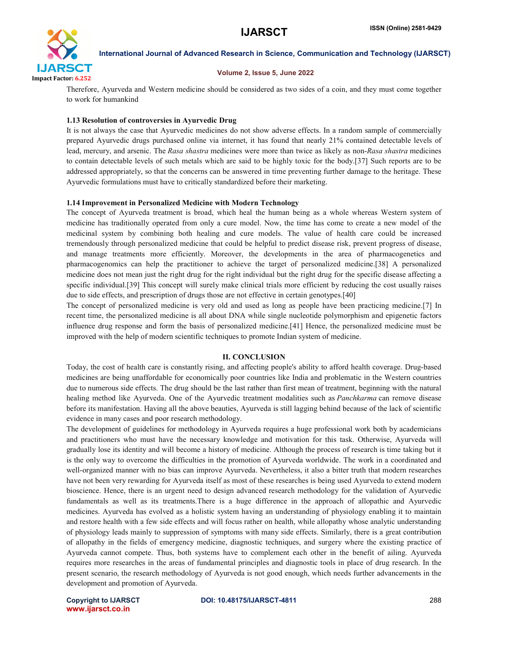

#### Volume 2, Issue 5, June 2022

Therefore, Ayurveda and Western medicine should be considered as two sides of a coin, and they must come together to work for humankind

#### 1.13 Resolution of controversies in Ayurvedic Drug

It is not always the case that Ayurvedic medicines do not show adverse effects. In a random sample of commercially prepared Ayurvedic drugs purchased online via internet, it has found that nearly 21% contained detectable levels of lead, mercury, and arsenic. The *Rasa shastra* medicines were more than twice as likely as non-*Rasa shastra* medicines to contain detectable levels of such metals which are said to be highly toxic for the body.[37] Such reports are to be addressed appropriately, so that the concerns can be answered in time preventing further damage to the heritage. These Ayurvedic formulations must have to critically standardized before their marketing.

#### 1.14 Improvement in Personalized Medicine with Modern Technology

The concept of Ayurveda treatment is broad, which heal the human being as a whole whereas Western system of medicine has traditionally operated from only a cure model. Now, the time has come to create a new model of the medicinal system by combining both healing and cure models. The value of health care could be increased tremendously through personalized medicine that could be helpful to predict disease risk, prevent progress of disease, and manage treatments more efficiently. Moreover, the developments in the area of pharmacogenetics and pharmacogenomics can help the practitioner to achieve the target of personalized medicine.[38] A personalized medicine does not mean just the right drug for the right individual but the right drug for the specific disease affecting a specific individual.[39] This concept will surely make clinical trials more efficient by reducing the cost usually raises due to side effects, and prescription of drugs those are not effective in certain genotypes.[40]

The concept of personalized medicine is very old and used as long as people have been practicing medicine.[7] In recent time, the personalized medicine is all about DNA while single nucleotide polymorphism and epigenetic factors influence drug response and form the basis of personalized medicine.[41] Hence, the personalized medicine must be improved with the help of modern scientific techniques to promote Indian system of medicine.

#### II. CONCLUSION

Today, the cost of health care is constantly rising, and affecting people's ability to afford health coverage. Drug-based medicines are being unaffordable for economically poor countries like India and problematic in the Western countries due to numerous side effects. The drug should be the last rather than first mean of treatment, beginning with the natural healing method like Ayurveda. One of the Ayurvedic treatment modalities such as *Panchkarma* can remove disease before its manifestation. Having all the above beauties, Ayurveda is still lagging behind because of the lack of scientific evidence in many cases and poor research methodology.

The development of guidelines for methodology in Ayurveda requires a huge professional work both by academicians and practitioners who must have the necessary knowledge and motivation for this task. Otherwise, Ayurveda will gradually lose its identity and will become a history of medicine. Although the process of research is time taking but it is the only way to overcome the difficulties in the promotion of Ayurveda worldwide. The work in a coordinated and well-organized manner with no bias can improve Ayurveda. Nevertheless, it also a bitter truth that modern researches have not been very rewarding for Ayurveda itself as most of these researches is being used Ayurveda to extend modern bioscience. Hence, there is an urgent need to design advanced research methodology for the validation of Ayurvedic fundamentals as well as its treatments.There is a huge difference in the approach of allopathic and Ayurvedic medicines. Ayurveda has evolved as a holistic system having an understanding of physiology enabling it to maintain and restore health with a few side effects and will focus rather on health, while allopathy whose analytic understanding of physiology leads mainly to suppression of symptoms with many side effects. Similarly, there is a great contribution of allopathy in the fields of emergency medicine, diagnostic techniques, and surgery where the existing practice of Ayurveda cannot compete. Thus, both systems have to complement each other in the benefit of ailing. Ayurveda requires more researches in the areas of fundamental principles and diagnostic tools in place of drug research. In the present scenario, the research methodology of Ayurveda is not good enough, which needs further advancements in the development and promotion of Ayurveda.

www.ijarsct.co.in

Copyright to IJARSCT DOI: 10.48175/IJARSCT-4811 **288**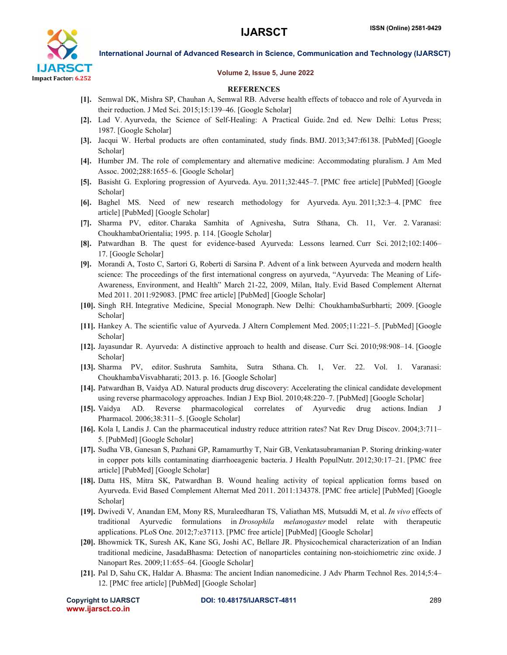

#### Volume 2, Issue 5, June 2022

# **REFERENCES**

- [1]. Semwal DK, Mishra SP, Chauhan A, Semwal RB. Adverse health effects of tobacco and role of Ayurveda in their reduction. J Med Sci. 2015;15:139–46. [Google Scholar]
- [2]. Lad V. Ayurveda, the Science of Self-Healing: A Practical Guide. 2nd ed. New Delhi: Lotus Press; 1987. [Google Scholar]
- [3]. Jacqui W. Herbal products are often contaminated, study finds. BMJ. 2013;347:f6138. [PubMed] [Google Scholar]
- [4]. Humber JM. The role of complementary and alternative medicine: Accommodating pluralism. J Am Med Assoc. 2002;288:1655–6. [Google Scholar]
- [5]. Basisht G. Exploring progression of Ayurveda. Ayu. 2011;32:445–7. [PMC free article] [PubMed] [Google Scholar]
- [6]. Baghel MS. Need of new research methodology for Ayurveda. Ayu. 2011;32:3–4. [PMC free article] [PubMed] [Google Scholar]
- [7]. Sharma PV, editor. Charaka Samhita of Agnivesha, Sutra Sthana, Ch. 11, Ver. 2. Varanasi: ChoukhambaOrientalia; 1995. p. 114. [Google Scholar]
- [8]. Patwardhan B. The quest for evidence-based Ayurveda: Lessons learned. Curr Sci. 2012;102:1406– 17. [Google Scholar]
- [9]. Morandi A, Tosto C, Sartori G, Roberti di Sarsina P. Advent of a link between Ayurveda and modern health science: The proceedings of the first international congress on ayurveda, "Ayurveda: The Meaning of Life-Awareness, Environment, and Health" March 21-22, 2009, Milan, Italy. Evid Based Complement Alternat Med 2011. 2011:929083. [PMC free article] [PubMed] [Google Scholar]
- [10]. Singh RH. Integrative Medicine, Special Monograph. New Delhi: ChoukhambaSurbharti; 2009. [Google Scholar]
- [11]. Hankey A. The scientific value of Ayurveda. J Altern Complement Med. 2005;11:221–5. [PubMed] [Google Scholar]
- [12]. Jayasundar R. Ayurveda: A distinctive approach to health and disease. Curr Sci. 2010;98:908–14. [Google Scholar]
- [13]. Sharma PV, editor. Sushruta Samhita, Sutra Sthana. Ch. 1, Ver. 22. Vol. 1. Varanasi: ChoukhambaVisvabharati; 2013. p. 16. [Google Scholar]
- [14]. Patwardhan B, Vaidya AD. Natural products drug discovery: Accelerating the clinical candidate development using reverse pharmacology approaches. Indian J Exp Biol. 2010;48:220–7. [PubMed] [Google Scholar]
- [15]. Vaidya AD. Reverse pharmacological correlates of Ayurvedic drug actions. Indian J Pharmacol. 2006;38:311–5. [Google Scholar]
- [16]. Kola I, Landis J. Can the pharmaceutical industry reduce attrition rates? Nat Rev Drug Discov. 2004;3:711– 5. [PubMed] [Google Scholar]
- [17]. Sudha VB, Ganesan S, Pazhani GP, Ramamurthy T, Nair GB, Venkatasubramanian P. Storing drinking-water in copper pots kills contaminating diarrhoeagenic bacteria. J Health PopulNutr. 2012;30:17–21. [PMC free article] [PubMed] [Google Scholar]
- [18]. Datta HS, Mitra SK, Patwardhan B. Wound healing activity of topical application forms based on Ayurveda. Evid Based Complement Alternat Med 2011. 2011:134378. [PMC free article] [PubMed] [Google Scholar]
- [19]. Dwivedi V, Anandan EM, Mony RS, Muraleedharan TS, Valiathan MS, Mutsuddi M, et al. *In vivo* effects of traditional Ayurvedic formulations in *Drosophila melanogaster* model relate with therapeutic applications. PLoS One. 2012;7:e37113. [PMC free article] [PubMed] [Google Scholar]
- [20]. Bhowmick TK, Suresh AK, Kane SG, Joshi AC, Bellare JR. Physicochemical characterization of an Indian traditional medicine, JasadaBhasma: Detection of nanoparticles containing non-stoichiometric zinc oxide. J Nanopart Res. 2009;11:655–64. [Google Scholar]
- [21]. Pal D, Sahu CK, Haldar A. Bhasma: The ancient Indian nanomedicine. J Adv Pharm Technol Res. 2014;5:4– 12. [PMC free article] [PubMed] [Google Scholar]